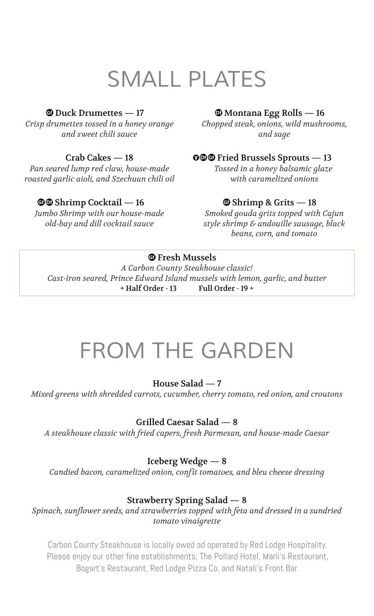### *SMALL PLATES*

#### $\Phi$  Duck Drumettes  $-17$

*Crisp drumettes tossed in a honey orange and sweet chili sauce*

#### Crab Cakes — 18

*Pan seared lump red claw, house-made roasted garlic aioli, and Szechuan chili oil*

#### **OO** Shrimp Cocktail — 16

*Jumbo Shrimp with our house-made old-bay and dill cocktail sauce*

#### $\Phi$  Montana Egg Rolls — 16

*Chopped steak, onions, wild mushrooms, and sage*

#### **OOG** Fried Brussels Sprouts  $-13$

*Tossed in a honey balsamic glaze with caramelized onions*

#### $\bullet$  Shrimp & Grits  $-18$

*Smoked gouda grits topped with Cajun style shrimp & andouille sausage, black beans, corn, and tomato*

#### **The Fresh Mussels**

*A Carbon County Steakhouse classic! Cast-iron seared, Prince Edward Island mussels with lemon, garlic, and butter* + Half Order - 13 Full Order - 19 +

### *FROM THE GARDEN*

House Salad — 7

*Mixed greens with shredded carrots, cucumber, cherry tomato, red onion, and croutons*

#### Grilled Caesar Salad — 8

*A steakhouse classic with fried capers, fresh Parmesan, and house-made Caesar*

#### Iceberg Wedge — 8

*Candied bacon, caramelized onion, confit tomatoes, and bleu cheese dressing*

#### Strawberry Spring Salad — 8

*Spinach, sunflower seeds, and strawberries topped with feta and dressed in a sundried tomato vinaigrette*

Carbon County Steakhouse is locally owed ad operated by Red Lodge Hospitality. Please enjoy our other fine establishments; The Pollard Hotel, Marli's Restaurant, Bogart's Restaurant, Red Lodge Pizza Co. and Natali's Front Bar.